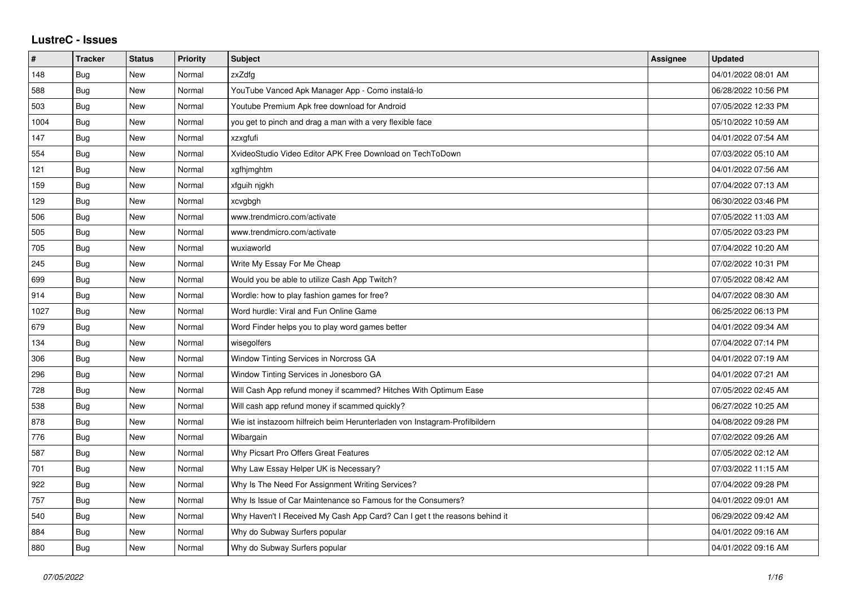## **LustreC - Issues**

| $\pmb{\#}$ | <b>Tracker</b> | <b>Status</b> | <b>Priority</b> | Subject                                                                    | Assignee | <b>Updated</b>      |
|------------|----------------|---------------|-----------------|----------------------------------------------------------------------------|----------|---------------------|
| 148        | Bug            | New           | Normal          | zxZdfg                                                                     |          | 04/01/2022 08:01 AM |
| 588        | Bug            | <b>New</b>    | Normal          | YouTube Vanced Apk Manager App - Como instalá-lo                           |          | 06/28/2022 10:56 PM |
| 503        | Bug            | New           | Normal          | Youtube Premium Apk free download for Android                              |          | 07/05/2022 12:33 PM |
| 1004       | Bug            | New           | Normal          | you get to pinch and drag a man with a very flexible face                  |          | 05/10/2022 10:59 AM |
| 147        | Bug            | <b>New</b>    | Normal          | xzxgfufi                                                                   |          | 04/01/2022 07:54 AM |
| 554        | Bug            | <b>New</b>    | Normal          | XvideoStudio Video Editor APK Free Download on TechToDown                  |          | 07/03/2022 05:10 AM |
| 121        | Bug            | New           | Normal          | xgfhjmghtm                                                                 |          | 04/01/2022 07:56 AM |
| 159        | Bug            | <b>New</b>    | Normal          | xfguih nigkh                                                               |          | 07/04/2022 07:13 AM |
| 129        | Bug            | New           | Normal          | xcvgbgh                                                                    |          | 06/30/2022 03:46 PM |
| 506        | Bug            | New           | Normal          | www.trendmicro.com/activate                                                |          | 07/05/2022 11:03 AM |
| 505        | Bug            | <b>New</b>    | Normal          | www.trendmicro.com/activate                                                |          | 07/05/2022 03:23 PM |
| 705        | Bug            | New           | Normal          | wuxiaworld                                                                 |          | 07/04/2022 10:20 AM |
| 245        | Bug            | New           | Normal          | Write My Essay For Me Cheap                                                |          | 07/02/2022 10:31 PM |
| 699        | Bug            | New           | Normal          | Would you be able to utilize Cash App Twitch?                              |          | 07/05/2022 08:42 AM |
| 914        | Bug            | <b>New</b>    | Normal          | Wordle: how to play fashion games for free?                                |          | 04/07/2022 08:30 AM |
| 1027       | Bug            | New           | Normal          | Word hurdle: Viral and Fun Online Game                                     |          | 06/25/2022 06:13 PM |
| 679        | <b>Bug</b>     | New           | Normal          | Word Finder helps you to play word games better                            |          | 04/01/2022 09:34 AM |
| 134        | Bug            | <b>New</b>    | Normal          | wisegolfers                                                                |          | 07/04/2022 07:14 PM |
| 306        | Bug            | New           | Normal          | Window Tinting Services in Norcross GA                                     |          | 04/01/2022 07:19 AM |
| 296        | <b>Bug</b>     | New           | Normal          | Window Tinting Services in Jonesboro GA                                    |          | 04/01/2022 07:21 AM |
| 728        | Bug            | <b>New</b>    | Normal          | Will Cash App refund money if scammed? Hitches With Optimum Ease           |          | 07/05/2022 02:45 AM |
| 538        | Bug            | <b>New</b>    | Normal          | Will cash app refund money if scammed quickly?                             |          | 06/27/2022 10:25 AM |
| 878        | <b>Bug</b>     | New           | Normal          | Wie ist instazoom hilfreich beim Herunterladen von Instagram-Profilbildern |          | 04/08/2022 09:28 PM |
| 776        | <b>Bug</b>     | <b>New</b>    | Normal          | Wibargain                                                                  |          | 07/02/2022 09:26 AM |
| 587        | Bug            | <b>New</b>    | Normal          | Why Picsart Pro Offers Great Features                                      |          | 07/05/2022 02:12 AM |
| 701        | Bug            | New           | Normal          | Why Law Essay Helper UK is Necessary?                                      |          | 07/03/2022 11:15 AM |
| 922        | Bug            | New           | Normal          | Why Is The Need For Assignment Writing Services?                           |          | 07/04/2022 09:28 PM |
| 757        | Bug            | New           | Normal          | Why Is Issue of Car Maintenance so Famous for the Consumers?               |          | 04/01/2022 09:01 AM |
| 540        | Bug            | New           | Normal          | Why Haven't I Received My Cash App Card? Can I get t the reasons behind it |          | 06/29/2022 09:42 AM |
| 884        | Bug            | New           | Normal          | Why do Subway Surfers popular                                              |          | 04/01/2022 09:16 AM |
| 880        | <b>Bug</b>     | New           | Normal          | Why do Subway Surfers popular                                              |          | 04/01/2022 09:16 AM |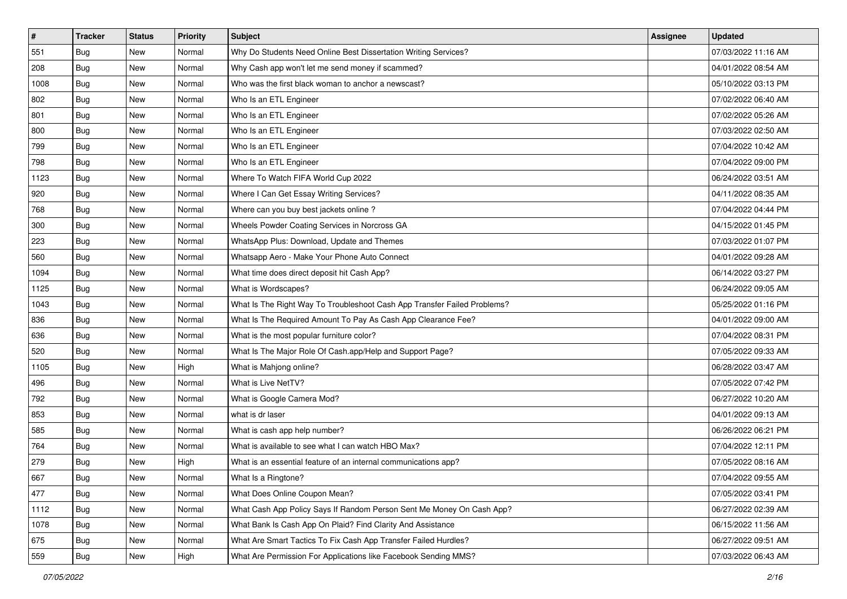| $\sharp$ | <b>Tracker</b> | <b>Status</b> | <b>Priority</b> | Subject                                                                  | Assignee | <b>Updated</b>      |
|----------|----------------|---------------|-----------------|--------------------------------------------------------------------------|----------|---------------------|
| 551      | Bug            | New           | Normal          | Why Do Students Need Online Best Dissertation Writing Services?          |          | 07/03/2022 11:16 AM |
| 208      | <b>Bug</b>     | <b>New</b>    | Normal          | Why Cash app won't let me send money if scammed?                         |          | 04/01/2022 08:54 AM |
| 1008     | Bug            | New           | Normal          | Who was the first black woman to anchor a newscast?                      |          | 05/10/2022 03:13 PM |
| 802      | <b>Bug</b>     | <b>New</b>    | Normal          | Who Is an ETL Engineer                                                   |          | 07/02/2022 06:40 AM |
| 801      | Bug            | <b>New</b>    | Normal          | Who Is an ETL Engineer                                                   |          | 07/02/2022 05:26 AM |
| 800      | <b>Bug</b>     | <b>New</b>    | Normal          | Who Is an ETL Engineer                                                   |          | 07/03/2022 02:50 AM |
| 799      | Bug            | New           | Normal          | Who Is an ETL Engineer                                                   |          | 07/04/2022 10:42 AM |
| 798      | Bug            | New           | Normal          | Who Is an ETL Engineer                                                   |          | 07/04/2022 09:00 PM |
| 1123     | <b>Bug</b>     | <b>New</b>    | Normal          | Where To Watch FIFA World Cup 2022                                       |          | 06/24/2022 03:51 AM |
| 920      | Bug            | <b>New</b>    | Normal          | Where I Can Get Essay Writing Services?                                  |          | 04/11/2022 08:35 AM |
| 768      | <b>Bug</b>     | New           | Normal          | Where can you buy best jackets online?                                   |          | 07/04/2022 04:44 PM |
| 300      | <b>Bug</b>     | New           | Normal          | Wheels Powder Coating Services in Norcross GA                            |          | 04/15/2022 01:45 PM |
| 223      | Bug            | New           | Normal          | WhatsApp Plus: Download, Update and Themes                               |          | 07/03/2022 01:07 PM |
| 560      | Bug            | New           | Normal          | Whatsapp Aero - Make Your Phone Auto Connect                             |          | 04/01/2022 09:28 AM |
| 1094     | Bug            | <b>New</b>    | Normal          | What time does direct deposit hit Cash App?                              |          | 06/14/2022 03:27 PM |
| 1125     | Bug            | New           | Normal          | What is Wordscapes?                                                      |          | 06/24/2022 09:05 AM |
| 1043     | <b>Bug</b>     | <b>New</b>    | Normal          | What Is The Right Way To Troubleshoot Cash App Transfer Failed Problems? |          | 05/25/2022 01:16 PM |
| 836      | <b>Bug</b>     | <b>New</b>    | Normal          | What Is The Required Amount To Pay As Cash App Clearance Fee?            |          | 04/01/2022 09:00 AM |
| 636      | Bug            | New           | Normal          | What is the most popular furniture color?                                |          | 07/04/2022 08:31 PM |
| 520      | <b>Bug</b>     | New           | Normal          | What Is The Major Role Of Cash.app/Help and Support Page?                |          | 07/05/2022 09:33 AM |
| 1105     | <b>Bug</b>     | New           | High            | What is Mahjong online?                                                  |          | 06/28/2022 03:47 AM |
| 496      | <b>Bug</b>     | <b>New</b>    | Normal          | What is Live NetTV?                                                      |          | 07/05/2022 07:42 PM |
| 792      | Bug            | <b>New</b>    | Normal          | What is Google Camera Mod?                                               |          | 06/27/2022 10:20 AM |
| 853      | <b>Bug</b>     | New           | Normal          | what is dr laser                                                         |          | 04/01/2022 09:13 AM |
| 585      | Bug            | New           | Normal          | What is cash app help number?                                            |          | 06/26/2022 06:21 PM |
| 764      | Bug            | New           | Normal          | What is available to see what I can watch HBO Max?                       |          | 07/04/2022 12:11 PM |
| 279      | <b>Bug</b>     | New           | High            | What is an essential feature of an internal communications app?          |          | 07/05/2022 08:16 AM |
| 667      | <b>Bug</b>     | New           | Normal          | What Is a Ringtone?                                                      |          | 07/04/2022 09:55 AM |
| 477      | Bug            | New           | Normal          | What Does Online Coupon Mean?                                            |          | 07/05/2022 03:41 PM |
| 1112     | Bug            | New           | Normal          | What Cash App Policy Says If Random Person Sent Me Money On Cash App?    |          | 06/27/2022 02:39 AM |
| 1078     | Bug            | New           | Normal          | What Bank Is Cash App On Plaid? Find Clarity And Assistance              |          | 06/15/2022 11:56 AM |
| 675      | <b>Bug</b>     | New           | Normal          | What Are Smart Tactics To Fix Cash App Transfer Failed Hurdles?          |          | 06/27/2022 09:51 AM |
| 559      | Bug            | New           | High            | What Are Permission For Applications like Facebook Sending MMS?          |          | 07/03/2022 06:43 AM |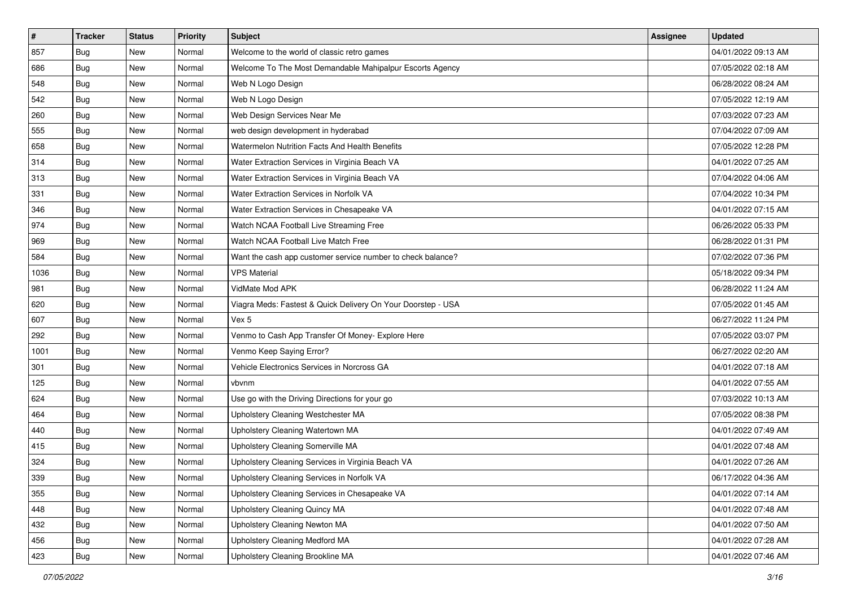| $\sharp$ | <b>Tracker</b> | <b>Status</b> | <b>Priority</b> | Subject                                                      | Assignee | <b>Updated</b>      |
|----------|----------------|---------------|-----------------|--------------------------------------------------------------|----------|---------------------|
| 857      | <b>Bug</b>     | New           | Normal          | Welcome to the world of classic retro games                  |          | 04/01/2022 09:13 AM |
| 686      | <b>Bug</b>     | <b>New</b>    | Normal          | Welcome To The Most Demandable Mahipalpur Escorts Agency     |          | 07/05/2022 02:18 AM |
| 548      | Bug            | New           | Normal          | Web N Logo Design                                            |          | 06/28/2022 08:24 AM |
| 542      | <b>Bug</b>     | <b>New</b>    | Normal          | Web N Logo Design                                            |          | 07/05/2022 12:19 AM |
| 260      | Bug            | <b>New</b>    | Normal          | Web Design Services Near Me                                  |          | 07/03/2022 07:23 AM |
| 555      | <b>Bug</b>     | <b>New</b>    | Normal          | web design development in hyderabad                          |          | 07/04/2022 07:09 AM |
| 658      | Bug            | <b>New</b>    | Normal          | Watermelon Nutrition Facts And Health Benefits               |          | 07/05/2022 12:28 PM |
| 314      | Bug            | New           | Normal          | Water Extraction Services in Virginia Beach VA               |          | 04/01/2022 07:25 AM |
| 313      | <b>Bug</b>     | <b>New</b>    | Normal          | Water Extraction Services in Virginia Beach VA               |          | 07/04/2022 04:06 AM |
| 331      | Bug            | <b>New</b>    | Normal          | Water Extraction Services in Norfolk VA                      |          | 07/04/2022 10:34 PM |
| 346      | <b>Bug</b>     | New           | Normal          | Water Extraction Services in Chesapeake VA                   |          | 04/01/2022 07:15 AM |
| 974      | Bug            | New           | Normal          | Watch NCAA Football Live Streaming Free                      |          | 06/26/2022 05:33 PM |
| 969      | Bug            | New           | Normal          | Watch NCAA Football Live Match Free                          |          | 06/28/2022 01:31 PM |
| 584      | Bug            | New           | Normal          | Want the cash app customer service number to check balance?  |          | 07/02/2022 07:36 PM |
| 1036     | Bug            | <b>New</b>    | Normal          | <b>VPS Material</b>                                          |          | 05/18/2022 09:34 PM |
| 981      | Bug            | New           | Normal          | VidMate Mod APK                                              |          | 06/28/2022 11:24 AM |
| 620      | <b>Bug</b>     | <b>New</b>    | Normal          | Viagra Meds: Fastest & Quick Delivery On Your Doorstep - USA |          | 07/05/2022 01:45 AM |
| 607      | Bug            | <b>New</b>    | Normal          | Vex 5                                                        |          | 06/27/2022 11:24 PM |
| 292      | <b>Bug</b>     | New           | Normal          | Venmo to Cash App Transfer Of Money- Explore Here            |          | 07/05/2022 03:07 PM |
| 1001     | Bug            | <b>New</b>    | Normal          | Venmo Keep Saying Error?                                     |          | 06/27/2022 02:20 AM |
| 301      | Bug            | New           | Normal          | Vehicle Electronics Services in Norcross GA                  |          | 04/01/2022 07:18 AM |
| 125      | <b>Bug</b>     | <b>New</b>    | Normal          | vbvnm                                                        |          | 04/01/2022 07:55 AM |
| 624      | Bug            | <b>New</b>    | Normal          | Use go with the Driving Directions for your go               |          | 07/03/2022 10:13 AM |
| 464      | Bug            | New           | Normal          | Upholstery Cleaning Westchester MA                           |          | 07/05/2022 08:38 PM |
| 440      | Bug            | <b>New</b>    | Normal          | Upholstery Cleaning Watertown MA                             |          | 04/01/2022 07:49 AM |
| 415      | <b>Bug</b>     | New           | Normal          | Upholstery Cleaning Somerville MA                            |          | 04/01/2022 07:48 AM |
| 324      | <b>Bug</b>     | <b>New</b>    | Normal          | Upholstery Cleaning Services in Virginia Beach VA            |          | 04/01/2022 07:26 AM |
| 339      | <b>Bug</b>     | New           | Normal          | Upholstery Cleaning Services in Norfolk VA                   |          | 06/17/2022 04:36 AM |
| 355      | Bug            | New           | Normal          | Upholstery Cleaning Services in Chesapeake VA                |          | 04/01/2022 07:14 AM |
| 448      | Bug            | New           | Normal          | Upholstery Cleaning Quincy MA                                |          | 04/01/2022 07:48 AM |
| 432      | <b>Bug</b>     | New           | Normal          | Upholstery Cleaning Newton MA                                |          | 04/01/2022 07:50 AM |
| 456      | <b>Bug</b>     | New           | Normal          | Upholstery Cleaning Medford MA                               |          | 04/01/2022 07:28 AM |
| 423      | <b>Bug</b>     | New           | Normal          | Upholstery Cleaning Brookline MA                             |          | 04/01/2022 07:46 AM |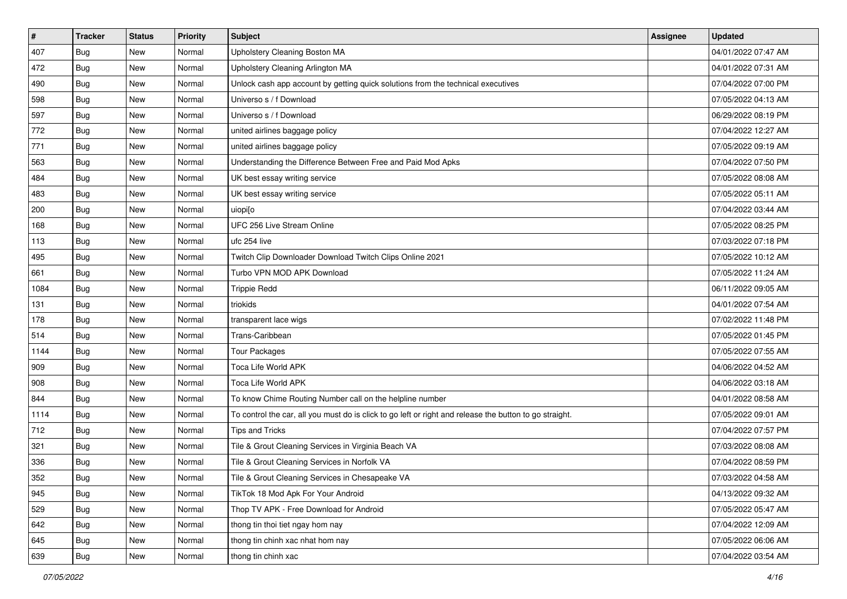| $\sharp$ | <b>Tracker</b> | <b>Status</b> | <b>Priority</b> | <b>Subject</b>                                                                                          | Assignee | <b>Updated</b>      |
|----------|----------------|---------------|-----------------|---------------------------------------------------------------------------------------------------------|----------|---------------------|
| 407      | <b>Bug</b>     | New           | Normal          | Upholstery Cleaning Boston MA                                                                           |          | 04/01/2022 07:47 AM |
| 472      | Bug            | New           | Normal          | Upholstery Cleaning Arlington MA                                                                        |          | 04/01/2022 07:31 AM |
| 490      | Bug            | New           | Normal          | Unlock cash app account by getting quick solutions from the technical executives                        |          | 07/04/2022 07:00 PM |
| 598      | <b>Bug</b>     | <b>New</b>    | Normal          | Universo s / f Download                                                                                 |          | 07/05/2022 04:13 AM |
| 597      | <b>Bug</b>     | <b>New</b>    | Normal          | Universo s / f Download                                                                                 |          | 06/29/2022 08:19 PM |
| 772      | <b>Bug</b>     | New           | Normal          | united airlines baggage policy                                                                          |          | 07/04/2022 12:27 AM |
| 771      | <b>Bug</b>     | <b>New</b>    | Normal          | united airlines baggage policy                                                                          |          | 07/05/2022 09:19 AM |
| 563      | Bug            | New           | Normal          | Understanding the Difference Between Free and Paid Mod Apks                                             |          | 07/04/2022 07:50 PM |
| 484      | <b>Bug</b>     | New           | Normal          | UK best essay writing service                                                                           |          | 07/05/2022 08:08 AM |
| 483      | <b>Bug</b>     | <b>New</b>    | Normal          | UK best essay writing service                                                                           |          | 07/05/2022 05:11 AM |
| 200      | <b>Bug</b>     | New           | Normal          | uiopi[o                                                                                                 |          | 07/04/2022 03:44 AM |
| 168      | Bug            | New           | Normal          | UFC 256 Live Stream Online                                                                              |          | 07/05/2022 08:25 PM |
| 113      | Bug            | <b>New</b>    | Normal          | ufc 254 live                                                                                            |          | 07/03/2022 07:18 PM |
| 495      | <b>Bug</b>     | New           | Normal          | Twitch Clip Downloader Download Twitch Clips Online 2021                                                |          | 07/05/2022 10:12 AM |
| 661      | <b>Bug</b>     | <b>New</b>    | Normal          | Turbo VPN MOD APK Download                                                                              |          | 07/05/2022 11:24 AM |
| 1084     | Bug            | New           | Normal          | <b>Trippie Redd</b>                                                                                     |          | 06/11/2022 09:05 AM |
| 131      | <b>Bug</b>     | <b>New</b>    | Normal          | triokids                                                                                                |          | 04/01/2022 07:54 AM |
| 178      | Bug            | <b>New</b>    | Normal          | transparent lace wigs                                                                                   |          | 07/02/2022 11:48 PM |
| 514      | <b>Bug</b>     | New           | Normal          | Trans-Caribbean                                                                                         |          | 07/05/2022 01:45 PM |
| 1144     | Bug            | <b>New</b>    | Normal          | <b>Tour Packages</b>                                                                                    |          | 07/05/2022 07:55 AM |
| 909      | Bug            | New           | Normal          | Toca Life World APK                                                                                     |          | 04/06/2022 04:52 AM |
| 908      | <b>Bug</b>     | New           | Normal          | Toca Life World APK                                                                                     |          | 04/06/2022 03:18 AM |
| 844      | Bug            | <b>New</b>    | Normal          | To know Chime Routing Number call on the helpline number                                                |          | 04/01/2022 08:58 AM |
| 1114     | <b>Bug</b>     | New           | Normal          | To control the car, all you must do is click to go left or right and release the button to go straight. |          | 07/05/2022 09:01 AM |
| 712      | Bug            | New           | Normal          | Tips and Tricks                                                                                         |          | 07/04/2022 07:57 PM |
| 321      | <b>Bug</b>     | <b>New</b>    | Normal          | Tile & Grout Cleaning Services in Virginia Beach VA                                                     |          | 07/03/2022 08:08 AM |
| 336      | <b>Bug</b>     | New           | Normal          | Tile & Grout Cleaning Services in Norfolk VA                                                            |          | 07/04/2022 08:59 PM |
| 352      | <b>Bug</b>     | New           | Normal          | Tile & Grout Cleaning Services in Chesapeake VA                                                         |          | 07/03/2022 04:58 AM |
| 945      | Bug            | New           | Normal          | TikTok 18 Mod Apk For Your Android                                                                      |          | 04/13/2022 09:32 AM |
| 529      | <b>Bug</b>     | New           | Normal          | Thop TV APK - Free Download for Android                                                                 |          | 07/05/2022 05:47 AM |
| 642      | Bug            | New           | Normal          | thong tin thoi tiet ngay hom nay                                                                        |          | 07/04/2022 12:09 AM |
| 645      | <b>Bug</b>     | New           | Normal          | thong tin chinh xac nhat hom nay                                                                        |          | 07/05/2022 06:06 AM |
| 639      | <b>Bug</b>     | New           | Normal          | thong tin chinh xac                                                                                     |          | 07/04/2022 03:54 AM |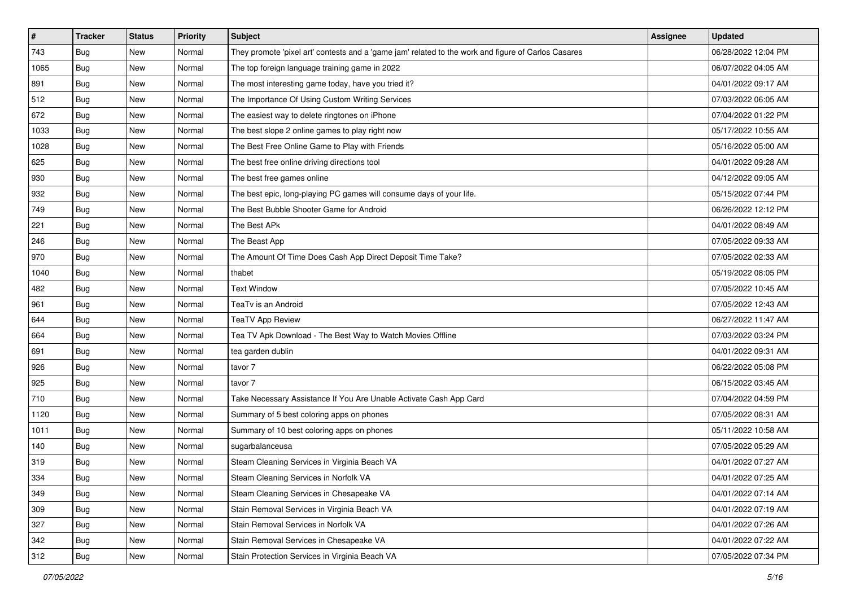| $\vert$ # | <b>Tracker</b> | <b>Status</b> | <b>Priority</b> | <b>Subject</b>                                                                                      | Assignee | <b>Updated</b>      |
|-----------|----------------|---------------|-----------------|-----------------------------------------------------------------------------------------------------|----------|---------------------|
| 743       | <b>Bug</b>     | New           | Normal          | They promote 'pixel art' contests and a 'game jam' related to the work and figure of Carlos Casares |          | 06/28/2022 12:04 PM |
| 1065      | Bug            | New           | Normal          | The top foreign language training game in 2022                                                      |          | 06/07/2022 04:05 AM |
| 891       | Bug            | <b>New</b>    | Normal          | The most interesting game today, have you tried it?                                                 |          | 04/01/2022 09:17 AM |
| 512       | Bug            | New           | Normal          | The Importance Of Using Custom Writing Services                                                     |          | 07/03/2022 06:05 AM |
| 672       | Bug            | <b>New</b>    | Normal          | The easiest way to delete ringtones on iPhone                                                       |          | 07/04/2022 01:22 PM |
| 1033      | Bug            | New           | Normal          | The best slope 2 online games to play right now                                                     |          | 05/17/2022 10:55 AM |
| 1028      | <b>Bug</b>     | <b>New</b>    | Normal          | The Best Free Online Game to Play with Friends                                                      |          | 05/16/2022 05:00 AM |
| 625       | Bug            | <b>New</b>    | Normal          | The best free online driving directions tool                                                        |          | 04/01/2022 09:28 AM |
| 930       | Bug            | New           | Normal          | The best free games online                                                                          |          | 04/12/2022 09:05 AM |
| 932       | <b>Bug</b>     | <b>New</b>    | Normal          | The best epic, long-playing PC games will consume days of your life.                                |          | 05/15/2022 07:44 PM |
| 749       | <b>Bug</b>     | New           | Normal          | The Best Bubble Shooter Game for Android                                                            |          | 06/26/2022 12:12 PM |
| 221       | <b>Bug</b>     | <b>New</b>    | Normal          | The Best APk                                                                                        |          | 04/01/2022 08:49 AM |
| 246       | Bug            | <b>New</b>    | Normal          | The Beast App                                                                                       |          | 07/05/2022 09:33 AM |
| 970       | <b>Bug</b>     | <b>New</b>    | Normal          | The Amount Of Time Does Cash App Direct Deposit Time Take?                                          |          | 07/05/2022 02:33 AM |
| 1040      | Bug            | <b>New</b>    | Normal          | thabet                                                                                              |          | 05/19/2022 08:05 PM |
| 482       | <b>Bug</b>     | New           | Normal          | <b>Text Window</b>                                                                                  |          | 07/05/2022 10:45 AM |
| 961       | <b>Bug</b>     | <b>New</b>    | Normal          | TeaTv is an Android                                                                                 |          | 07/05/2022 12:43 AM |
| 644       | <b>Bug</b>     | <b>New</b>    | Normal          | <b>TeaTV App Review</b>                                                                             |          | 06/27/2022 11:47 AM |
| 664       | <b>Bug</b>     | New           | Normal          | Tea TV Apk Download - The Best Way to Watch Movies Offline                                          |          | 07/03/2022 03:24 PM |
| 691       | <b>Bug</b>     | <b>New</b>    | Normal          | tea garden dublin                                                                                   |          | 04/01/2022 09:31 AM |
| 926       | <b>Bug</b>     | New           | Normal          | tavor 7                                                                                             |          | 06/22/2022 05:08 PM |
| 925       | <b>Bug</b>     | New           | Normal          | tavor 7                                                                                             |          | 06/15/2022 03:45 AM |
| 710       | Bug            | <b>New</b>    | Normal          | Take Necessary Assistance If You Are Unable Activate Cash App Card                                  |          | 07/04/2022 04:59 PM |
| 1120      | <b>Bug</b>     | New           | Normal          | Summary of 5 best coloring apps on phones                                                           |          | 07/05/2022 08:31 AM |
| 1011      | Bug            | <b>New</b>    | Normal          | Summary of 10 best coloring apps on phones                                                          |          | 05/11/2022 10:58 AM |
| 140       | Bug            | <b>New</b>    | Normal          | sugarbalanceusa                                                                                     |          | 07/05/2022 05:29 AM |
| 319       | <b>Bug</b>     | New           | Normal          | Steam Cleaning Services in Virginia Beach VA                                                        |          | 04/01/2022 07:27 AM |
| 334       | <b>Bug</b>     | New           | Normal          | Steam Cleaning Services in Norfolk VA                                                               |          | 04/01/2022 07:25 AM |
| 349       | <b>Bug</b>     | New           | Normal          | Steam Cleaning Services in Chesapeake VA                                                            |          | 04/01/2022 07:14 AM |
| 309       | <b>Bug</b>     | New           | Normal          | Stain Removal Services in Virginia Beach VA                                                         |          | 04/01/2022 07:19 AM |
| 327       | Bug            | New           | Normal          | Stain Removal Services in Norfolk VA                                                                |          | 04/01/2022 07:26 AM |
| 342       | Bug            | New           | Normal          | Stain Removal Services in Chesapeake VA                                                             |          | 04/01/2022 07:22 AM |
| 312       | <b>Bug</b>     | New           | Normal          | Stain Protection Services in Virginia Beach VA                                                      |          | 07/05/2022 07:34 PM |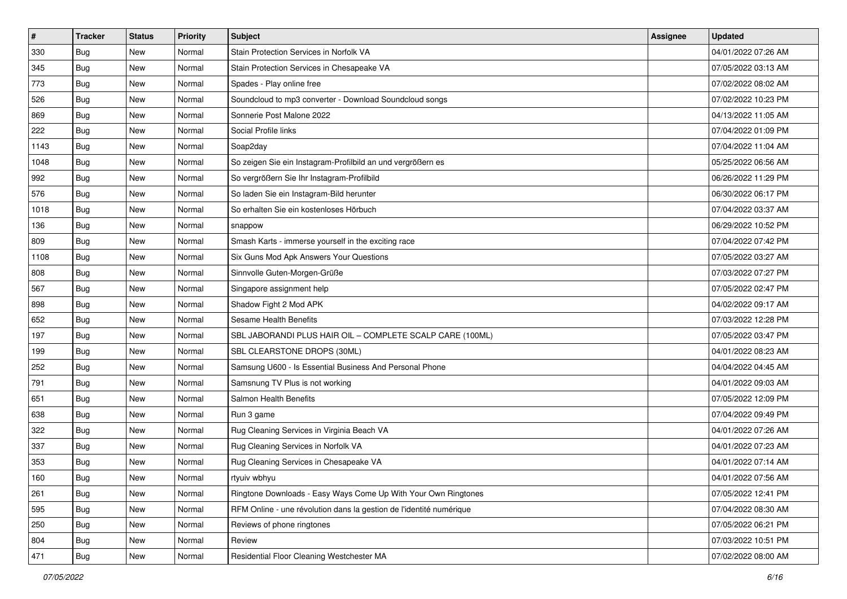| $\sharp$ | <b>Tracker</b> | <b>Status</b> | <b>Priority</b> | Subject                                                             | Assignee | <b>Updated</b>      |
|----------|----------------|---------------|-----------------|---------------------------------------------------------------------|----------|---------------------|
| 330      | <b>Bug</b>     | New           | Normal          | Stain Protection Services in Norfolk VA                             |          | 04/01/2022 07:26 AM |
| 345      | Bug            | <b>New</b>    | Normal          | Stain Protection Services in Chesapeake VA                          |          | 07/05/2022 03:13 AM |
| 773      | Bug            | New           | Normal          | Spades - Play online free                                           |          | 07/02/2022 08:02 AM |
| 526      | <b>Bug</b>     | <b>New</b>    | Normal          | Soundcloud to mp3 converter - Download Soundcloud songs             |          | 07/02/2022 10:23 PM |
| 869      | Bug            | <b>New</b>    | Normal          | Sonnerie Post Malone 2022                                           |          | 04/13/2022 11:05 AM |
| 222      | <b>Bug</b>     | <b>New</b>    | Normal          | Social Profile links                                                |          | 07/04/2022 01:09 PM |
| 1143     | Bug            | <b>New</b>    | Normal          | Soap2day                                                            |          | 07/04/2022 11:04 AM |
| 1048     | <b>Bug</b>     | New           | Normal          | So zeigen Sie ein Instagram-Profilbild an und vergrößern es         |          | 05/25/2022 06:56 AM |
| 992      | <b>Bug</b>     | <b>New</b>    | Normal          | So vergrößern Sie Ihr Instagram-Profilbild                          |          | 06/26/2022 11:29 PM |
| 576      | Bug            | <b>New</b>    | Normal          | So laden Sie ein Instagram-Bild herunter                            |          | 06/30/2022 06:17 PM |
| 1018     | Bug            | New           | Normal          | So erhalten Sie ein kostenloses Hörbuch                             |          | 07/04/2022 03:37 AM |
| 136      | <b>Bug</b>     | New           | Normal          | snappow                                                             |          | 06/29/2022 10:52 PM |
| 809      | Bug            | New           | Normal          | Smash Karts - immerse yourself in the exciting race                 |          | 07/04/2022 07:42 PM |
| 1108     | <b>Bug</b>     | New           | Normal          | Six Guns Mod Apk Answers Your Questions                             |          | 07/05/2022 03:27 AM |
| 808      | <b>Bug</b>     | <b>New</b>    | Normal          | Sinnvolle Guten-Morgen-Grüße                                        |          | 07/03/2022 07:27 PM |
| 567      | Bug            | New           | Normal          | Singapore assignment help                                           |          | 07/05/2022 02:47 PM |
| 898      | <b>Bug</b>     | <b>New</b>    | Normal          | Shadow Fight 2 Mod APK                                              |          | 04/02/2022 09:17 AM |
| 652      | Bug            | <b>New</b>    | Normal          | Sesame Health Benefits                                              |          | 07/03/2022 12:28 PM |
| 197      | <b>Bug</b>     | New           | Normal          | SBL JABORANDI PLUS HAIR OIL - COMPLETE SCALP CARE (100ML)           |          | 07/05/2022 03:47 PM |
| 199      | Bug            | <b>New</b>    | Normal          | SBL CLEARSTONE DROPS (30ML)                                         |          | 04/01/2022 08:23 AM |
| 252      | <b>Bug</b>     | New           | Normal          | Samsung U600 - Is Essential Business And Personal Phone             |          | 04/04/2022 04:45 AM |
| 791      | <b>Bug</b>     | <b>New</b>    | Normal          | Samsnung TV Plus is not working                                     |          | 04/01/2022 09:03 AM |
| 651      | Bug            | <b>New</b>    | Normal          | Salmon Health Benefits                                              |          | 07/05/2022 12:09 PM |
| 638      | Bug            | New           | Normal          | Run 3 game                                                          |          | 07/04/2022 09:49 PM |
| 322      | Bug            | New           | Normal          | Rug Cleaning Services in Virginia Beach VA                          |          | 04/01/2022 07:26 AM |
| 337      | <b>Bug</b>     | New           | Normal          | Rug Cleaning Services in Norfolk VA                                 |          | 04/01/2022 07:23 AM |
| 353      | <b>Bug</b>     | New           | Normal          | Rug Cleaning Services in Chesapeake VA                              |          | 04/01/2022 07:14 AM |
| 160      | <b>Bug</b>     | New           | Normal          | rtyuiv wbhyu                                                        |          | 04/01/2022 07:56 AM |
| 261      | <b>Bug</b>     | New           | Normal          | Ringtone Downloads - Easy Ways Come Up With Your Own Ringtones      |          | 07/05/2022 12:41 PM |
| 595      | Bug            | New           | Normal          | RFM Online - une révolution dans la gestion de l'identité numérique |          | 07/04/2022 08:30 AM |
| 250      | <b>Bug</b>     | New           | Normal          | Reviews of phone ringtones                                          |          | 07/05/2022 06:21 PM |
| 804      | <b>Bug</b>     | New           | Normal          | Review                                                              |          | 07/03/2022 10:51 PM |
| 471      | Bug            | New           | Normal          | Residential Floor Cleaning Westchester MA                           |          | 07/02/2022 08:00 AM |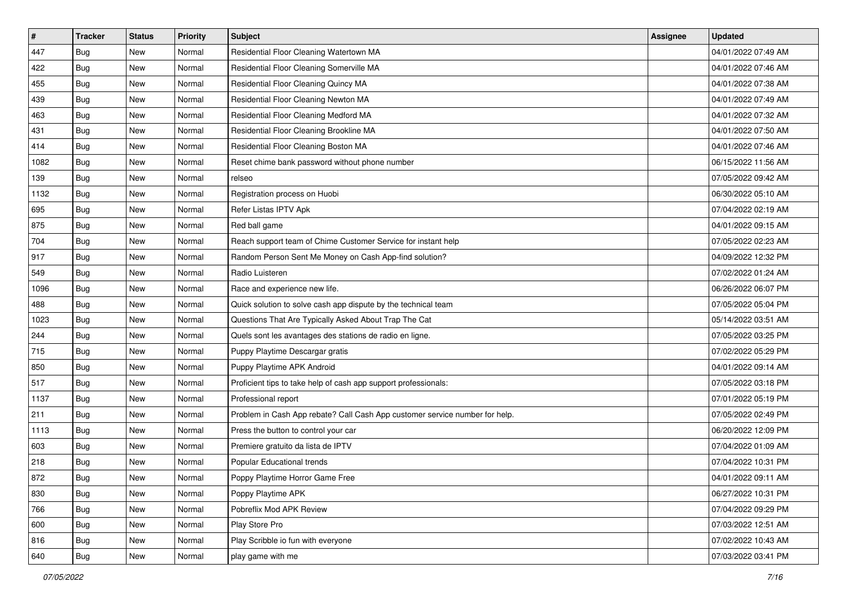| $\sharp$ | <b>Tracker</b> | <b>Status</b> | <b>Priority</b> | <b>Subject</b>                                                              | Assignee | <b>Updated</b>      |
|----------|----------------|---------------|-----------------|-----------------------------------------------------------------------------|----------|---------------------|
| 447      | <b>Bug</b>     | New           | Normal          | Residential Floor Cleaning Watertown MA                                     |          | 04/01/2022 07:49 AM |
| 422      | <b>Bug</b>     | <b>New</b>    | Normal          | Residential Floor Cleaning Somerville MA                                    |          | 04/01/2022 07:46 AM |
| 455      | Bug            | New           | Normal          | Residential Floor Cleaning Quincy MA                                        |          | 04/01/2022 07:38 AM |
| 439      | <b>Bug</b>     | New           | Normal          | Residential Floor Cleaning Newton MA                                        |          | 04/01/2022 07:49 AM |
| 463      | Bug            | <b>New</b>    | Normal          | Residential Floor Cleaning Medford MA                                       |          | 04/01/2022 07:32 AM |
| 431      | <b>Bug</b>     | New           | Normal          | Residential Floor Cleaning Brookline MA                                     |          | 04/01/2022 07:50 AM |
| 414      | Bug            | New           | Normal          | Residential Floor Cleaning Boston MA                                        |          | 04/01/2022 07:46 AM |
| 1082     | Bug            | New           | Normal          | Reset chime bank password without phone number                              |          | 06/15/2022 11:56 AM |
| 139      | <b>Bug</b>     | New           | Normal          | relseo                                                                      |          | 07/05/2022 09:42 AM |
| 1132     | Bug            | <b>New</b>    | Normal          | Registration process on Huobi                                               |          | 06/30/2022 05:10 AM |
| 695      | <b>Bug</b>     | New           | Normal          | Refer Listas IPTV Apk                                                       |          | 07/04/2022 02:19 AM |
| 875      | <b>Bug</b>     | New           | Normal          | Red ball game                                                               |          | 04/01/2022 09:15 AM |
| 704      | <b>Bug</b>     | New           | Normal          | Reach support team of Chime Customer Service for instant help               |          | 07/05/2022 02:23 AM |
| 917      | <b>Bug</b>     | New           | Normal          | Random Person Sent Me Money on Cash App-find solution?                      |          | 04/09/2022 12:32 PM |
| 549      | Bug            | <b>New</b>    | Normal          | Radio Luisteren                                                             |          | 07/02/2022 01:24 AM |
| 1096     | Bug            | New           | Normal          | Race and experience new life.                                               |          | 06/26/2022 06:07 PM |
| 488      | <b>Bug</b>     | New           | Normal          | Quick solution to solve cash app dispute by the technical team              |          | 07/05/2022 05:04 PM |
| 1023     | Bug            | New           | Normal          | Questions That Are Typically Asked About Trap The Cat                       |          | 05/14/2022 03:51 AM |
| 244      | Bug            | New           | Normal          | Quels sont les avantages des stations de radio en ligne.                    |          | 07/05/2022 03:25 PM |
| 715      | <b>Bug</b>     | New           | Normal          | Puppy Playtime Descargar gratis                                             |          | 07/02/2022 05:29 PM |
| 850      | <b>Bug</b>     | New           | Normal          | Puppy Playtime APK Android                                                  |          | 04/01/2022 09:14 AM |
| 517      | <b>Bug</b>     | <b>New</b>    | Normal          | Proficient tips to take help of cash app support professionals:             |          | 07/05/2022 03:18 PM |
| 1137     | Bug            | <b>New</b>    | Normal          | Professional report                                                         |          | 07/01/2022 05:19 PM |
| 211      | Bug            | New           | Normal          | Problem in Cash App rebate? Call Cash App customer service number for help. |          | 07/05/2022 02:49 PM |
| 1113     | Bug            | New           | Normal          | Press the button to control your car                                        |          | 06/20/2022 12:09 PM |
| 603      | <b>Bug</b>     | New           | Normal          | Premiere gratuito da lista de IPTV                                          |          | 07/04/2022 01:09 AM |
| 218      | <b>Bug</b>     | New           | Normal          | Popular Educational trends                                                  |          | 07/04/2022 10:31 PM |
| 872      | <b>Bug</b>     | New           | Normal          | Poppy Playtime Horror Game Free                                             |          | 04/01/2022 09:11 AM |
| 830      | Bug            | New           | Normal          | Poppy Playtime APK                                                          |          | 06/27/2022 10:31 PM |
| 766      | <b>Bug</b>     | New           | Normal          | Pobreflix Mod APK Review                                                    |          | 07/04/2022 09:29 PM |
| 600      | Bug            | New           | Normal          | Play Store Pro                                                              |          | 07/03/2022 12:51 AM |
| 816      | Bug            | New           | Normal          | Play Scribble io fun with everyone                                          |          | 07/02/2022 10:43 AM |
| 640      | <b>Bug</b>     | New           | Normal          | play game with me                                                           |          | 07/03/2022 03:41 PM |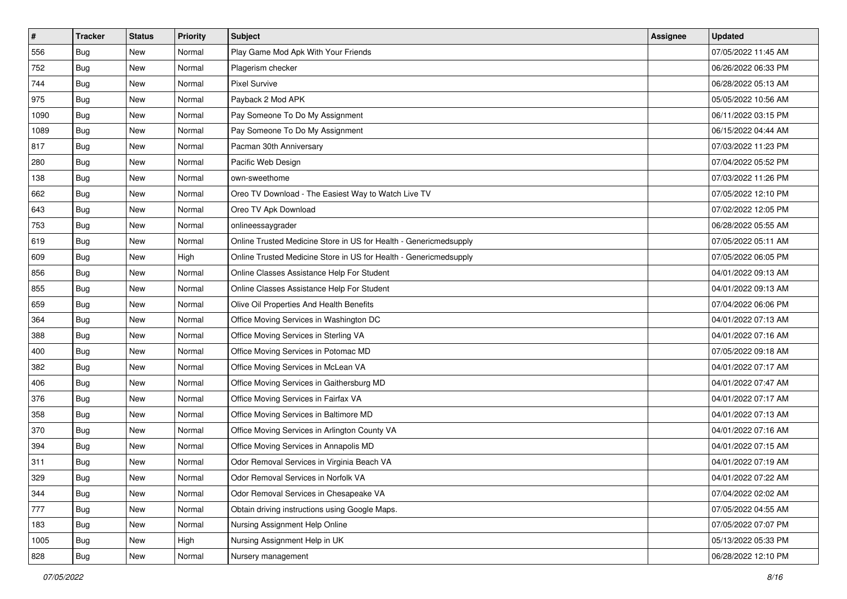| $\pmb{\#}$ | <b>Tracker</b> | <b>Status</b> | <b>Priority</b> | Subject                                                           | Assignee | <b>Updated</b>      |
|------------|----------------|---------------|-----------------|-------------------------------------------------------------------|----------|---------------------|
| 556        | Bug            | New           | Normal          | Play Game Mod Apk With Your Friends                               |          | 07/05/2022 11:45 AM |
| 752        | Bug            | New           | Normal          | Plagerism checker                                                 |          | 06/26/2022 06:33 PM |
| 744        | <b>Bug</b>     | New           | Normal          | <b>Pixel Survive</b>                                              |          | 06/28/2022 05:13 AM |
| 975        | <b>Bug</b>     | New           | Normal          | Payback 2 Mod APK                                                 |          | 05/05/2022 10:56 AM |
| 1090       | <b>Bug</b>     | New           | Normal          | Pay Someone To Do My Assignment                                   |          | 06/11/2022 03:15 PM |
| 1089       | Bug            | New           | Normal          | Pay Someone To Do My Assignment                                   |          | 06/15/2022 04:44 AM |
| 817        | Bug            | New           | Normal          | Pacman 30th Anniversary                                           |          | 07/03/2022 11:23 PM |
| 280        | <b>Bug</b>     | New           | Normal          | Pacific Web Design                                                |          | 07/04/2022 05:52 PM |
| 138        | <b>Bug</b>     | New           | Normal          | own-sweethome                                                     |          | 07/03/2022 11:26 PM |
| 662        | <b>Bug</b>     | New           | Normal          | Oreo TV Download - The Easiest Way to Watch Live TV               |          | 07/05/2022 12:10 PM |
| 643        | <b>Bug</b>     | New           | Normal          | Oreo TV Apk Download                                              |          | 07/02/2022 12:05 PM |
| 753        | <b>Bug</b>     | New           | Normal          | onlineessaygrader                                                 |          | 06/28/2022 05:55 AM |
| 619        | Bug            | New           | Normal          | Online Trusted Medicine Store in US for Health - Genericmedsupply |          | 07/05/2022 05:11 AM |
| 609        | <b>Bug</b>     | New           | High            | Online Trusted Medicine Store in US for Health - Genericmedsupply |          | 07/05/2022 06:05 PM |
| 856        | <b>Bug</b>     | New           | Normal          | Online Classes Assistance Help For Student                        |          | 04/01/2022 09:13 AM |
| 855        | <b>Bug</b>     | New           | Normal          | Online Classes Assistance Help For Student                        |          | 04/01/2022 09:13 AM |
| 659        | <b>Bug</b>     | New           | Normal          | Olive Oil Properties And Health Benefits                          |          | 07/04/2022 06:06 PM |
| 364        | Bug            | <b>New</b>    | Normal          | Office Moving Services in Washington DC                           |          | 04/01/2022 07:13 AM |
| 388        | <b>Bug</b>     | New           | Normal          | Office Moving Services in Sterling VA                             |          | 04/01/2022 07:16 AM |
| 400        | <b>Bug</b>     | New           | Normal          | Office Moving Services in Potomac MD                              |          | 07/05/2022 09:18 AM |
| 382        | <b>Bug</b>     | New           | Normal          | Office Moving Services in McLean VA                               |          | 04/01/2022 07:17 AM |
| 406        | <b>Bug</b>     | New           | Normal          | Office Moving Services in Gaithersburg MD                         |          | 04/01/2022 07:47 AM |
| 376        | Bug            | New           | Normal          | Office Moving Services in Fairfax VA                              |          | 04/01/2022 07:17 AM |
| 358        | <b>Bug</b>     | New           | Normal          | Office Moving Services in Baltimore MD                            |          | 04/01/2022 07:13 AM |
| 370        | Bug            | New           | Normal          | Office Moving Services in Arlington County VA                     |          | 04/01/2022 07:16 AM |
| 394        | Bug            | New           | Normal          | Office Moving Services in Annapolis MD                            |          | 04/01/2022 07:15 AM |
| 311        | <b>Bug</b>     | New           | Normal          | Odor Removal Services in Virginia Beach VA                        |          | 04/01/2022 07:19 AM |
| 329        | Bug            | New           | Normal          | Odor Removal Services in Norfolk VA                               |          | 04/01/2022 07:22 AM |
| 344        | <b>Bug</b>     | New           | Normal          | Odor Removal Services in Chesapeake VA                            |          | 07/04/2022 02:02 AM |
| 777        | Bug            | New           | Normal          | Obtain driving instructions using Google Maps.                    |          | 07/05/2022 04:55 AM |
| 183        | Bug            | <b>New</b>    | Normal          | Nursing Assignment Help Online                                    |          | 07/05/2022 07:07 PM |
| 1005       | <b>Bug</b>     | New           | High            | Nursing Assignment Help in UK                                     |          | 05/13/2022 05:33 PM |
| 828        | <b>Bug</b>     | New           | Normal          | Nursery management                                                |          | 06/28/2022 12:10 PM |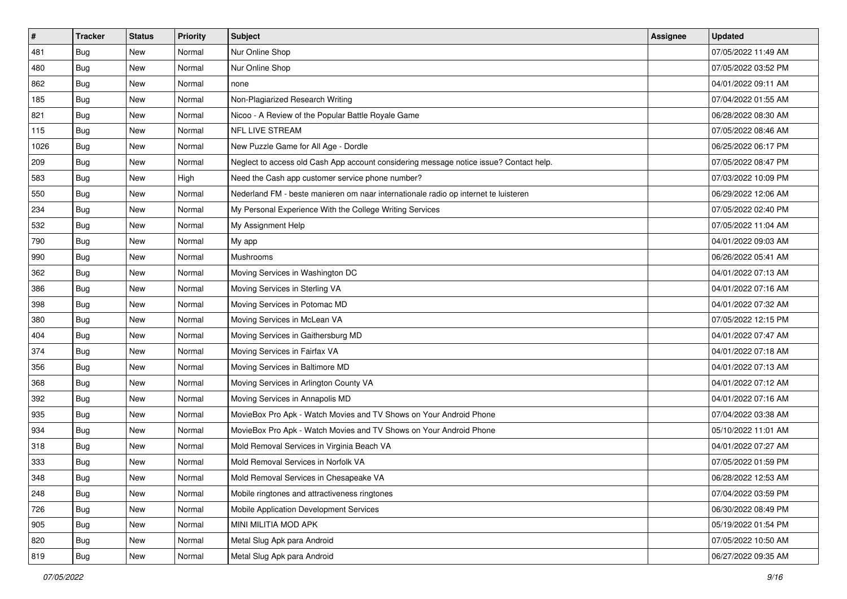| #    | <b>Tracker</b> | <b>Status</b> | <b>Priority</b> | <b>Subject</b>                                                                         | <b>Assignee</b> | <b>Updated</b>      |
|------|----------------|---------------|-----------------|----------------------------------------------------------------------------------------|-----------------|---------------------|
| 481  | <b>Bug</b>     | New           | Normal          | Nur Online Shop                                                                        |                 | 07/05/2022 11:49 AM |
| 480  | <b>Bug</b>     | New           | Normal          | Nur Online Shop                                                                        |                 | 07/05/2022 03:52 PM |
| 862  | Bug            | New           | Normal          | none                                                                                   |                 | 04/01/2022 09:11 AM |
| 185  | <b>Bug</b>     | New           | Normal          | Non-Plagiarized Research Writing                                                       |                 | 07/04/2022 01:55 AM |
| 821  | Bug            | <b>New</b>    | Normal          | Nicoo - A Review of the Popular Battle Royale Game                                     |                 | 06/28/2022 08:30 AM |
| 115  | <b>Bug</b>     | New           | Normal          | <b>NFL LIVE STREAM</b>                                                                 |                 | 07/05/2022 08:46 AM |
| 1026 | Bug            | New           | Normal          | New Puzzle Game for All Age - Dordle                                                   |                 | 06/25/2022 06:17 PM |
| 209  | Bug            | New           | Normal          | Neglect to access old Cash App account considering message notice issue? Contact help. |                 | 07/05/2022 08:47 PM |
| 583  | Bug            | New           | High            | Need the Cash app customer service phone number?                                       |                 | 07/03/2022 10:09 PM |
| 550  | Bug            | New           | Normal          | Nederland FM - beste manieren om naar internationale radio op internet te luisteren    |                 | 06/29/2022 12:06 AM |
| 234  | <b>Bug</b>     | New           | Normal          | My Personal Experience With the College Writing Services                               |                 | 07/05/2022 02:40 PM |
| 532  | Bug            | New           | Normal          | My Assignment Help                                                                     |                 | 07/05/2022 11:04 AM |
| 790  | Bug            | New           | Normal          | My app                                                                                 |                 | 04/01/2022 09:03 AM |
| 990  | <b>Bug</b>     | New           | Normal          | Mushrooms                                                                              |                 | 06/26/2022 05:41 AM |
| 362  | <b>Bug</b>     | New           | Normal          | Moving Services in Washington DC                                                       |                 | 04/01/2022 07:13 AM |
| 386  | Bug            | New           | Normal          | Moving Services in Sterling VA                                                         |                 | 04/01/2022 07:16 AM |
| 398  | <b>Bug</b>     | New           | Normal          | Moving Services in Potomac MD                                                          |                 | 04/01/2022 07:32 AM |
| 380  | Bug            | New           | Normal          | Moving Services in McLean VA                                                           |                 | 07/05/2022 12:15 PM |
| 404  | Bug            | New           | Normal          | Moving Services in Gaithersburg MD                                                     |                 | 04/01/2022 07:47 AM |
| 374  | <b>Bug</b>     | New           | Normal          | Moving Services in Fairfax VA                                                          |                 | 04/01/2022 07:18 AM |
| 356  | <b>Bug</b>     | New           | Normal          | Moving Services in Baltimore MD                                                        |                 | 04/01/2022 07:13 AM |
| 368  | <b>Bug</b>     | New           | Normal          | Moving Services in Arlington County VA                                                 |                 | 04/01/2022 07:12 AM |
| 392  | Bug            | New           | Normal          | Moving Services in Annapolis MD                                                        |                 | 04/01/2022 07:16 AM |
| 935  | <b>Bug</b>     | New           | Normal          | MovieBox Pro Apk - Watch Movies and TV Shows on Your Android Phone                     |                 | 07/04/2022 03:38 AM |
| 934  | Bug            | New           | Normal          | MovieBox Pro Apk - Watch Movies and TV Shows on Your Android Phone                     |                 | 05/10/2022 11:01 AM |
| 318  | Bug            | New           | Normal          | Mold Removal Services in Virginia Beach VA                                             |                 | 04/01/2022 07:27 AM |
| 333  | <b>Bug</b>     | New           | Normal          | Mold Removal Services in Norfolk VA                                                    |                 | 07/05/2022 01:59 PM |
| 348  | <b>Bug</b>     | New           | Normal          | Mold Removal Services in Chesapeake VA                                                 |                 | 06/28/2022 12:53 AM |
| 248  | Bug            | New           | Normal          | Mobile ringtones and attractiveness ringtones                                          |                 | 07/04/2022 03:59 PM |
| 726  | <b>Bug</b>     | New           | Normal          | Mobile Application Development Services                                                |                 | 06/30/2022 08:49 PM |
| 905  | Bug            | New           | Normal          | MINI MILITIA MOD APK                                                                   |                 | 05/19/2022 01:54 PM |
| 820  | <b>Bug</b>     | New           | Normal          | Metal Slug Apk para Android                                                            |                 | 07/05/2022 10:50 AM |
| 819  | <b>Bug</b>     | New           | Normal          | Metal Slug Apk para Android                                                            |                 | 06/27/2022 09:35 AM |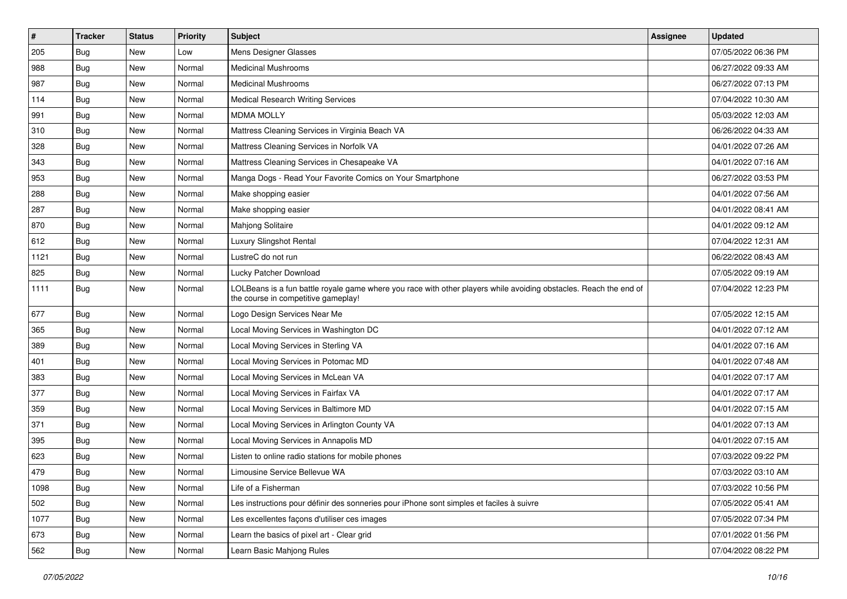| $\sharp$ | <b>Tracker</b> | <b>Status</b> | <b>Priority</b> | Subject                                                                                                                                                  | Assignee | <b>Updated</b>      |
|----------|----------------|---------------|-----------------|----------------------------------------------------------------------------------------------------------------------------------------------------------|----------|---------------------|
| 205      | <b>Bug</b>     | New           | Low             | Mens Designer Glasses                                                                                                                                    |          | 07/05/2022 06:36 PM |
| 988      | Bug            | <b>New</b>    | Normal          | <b>Medicinal Mushrooms</b>                                                                                                                               |          | 06/27/2022 09:33 AM |
| 987      | Bug            | New           | Normal          | <b>Medicinal Mushrooms</b>                                                                                                                               |          | 06/27/2022 07:13 PM |
| 114      | <b>Bug</b>     | <b>New</b>    | Normal          | Medical Research Writing Services                                                                                                                        |          | 07/04/2022 10:30 AM |
| 991      | Bug            | <b>New</b>    | Normal          | <b>MDMA MOLLY</b>                                                                                                                                        |          | 05/03/2022 12:03 AM |
| 310      | Bug            | <b>New</b>    | Normal          | Mattress Cleaning Services in Virginia Beach VA                                                                                                          |          | 06/26/2022 04:33 AM |
| 328      | Bug            | <b>New</b>    | Normal          | Mattress Cleaning Services in Norfolk VA                                                                                                                 |          | 04/01/2022 07:26 AM |
| 343      | <b>Bug</b>     | New           | Normal          | Mattress Cleaning Services in Chesapeake VA                                                                                                              |          | 04/01/2022 07:16 AM |
| 953      | <b>Bug</b>     | <b>New</b>    | Normal          | Manga Dogs - Read Your Favorite Comics on Your Smartphone                                                                                                |          | 06/27/2022 03:53 PM |
| 288      | Bug            | <b>New</b>    | Normal          | Make shopping easier                                                                                                                                     |          | 04/01/2022 07:56 AM |
| 287      | <b>Bug</b>     | New           | Normal          | Make shopping easier                                                                                                                                     |          | 04/01/2022 08:41 AM |
| 870      | Bug            | New           | Normal          | Mahjong Solitaire                                                                                                                                        |          | 04/01/2022 09:12 AM |
| 612      | Bug            | <b>New</b>    | Normal          | Luxury Slingshot Rental                                                                                                                                  |          | 07/04/2022 12:31 AM |
| 1121     | Bug            | New           | Normal          | LustreC do not run                                                                                                                                       |          | 06/22/2022 08:43 AM |
| 825      | Bug            | <b>New</b>    | Normal          | Lucky Patcher Download                                                                                                                                   |          | 07/05/2022 09:19 AM |
| 1111     | Bug            | New           | Normal          | LOLBeans is a fun battle royale game where you race with other players while avoiding obstacles. Reach the end of<br>the course in competitive gameplay! |          | 07/04/2022 12:23 PM |
| 677      | Bug            | New           | Normal          | Logo Design Services Near Me                                                                                                                             |          | 07/05/2022 12:15 AM |
| 365      | Bug            | <b>New</b>    | Normal          | Local Moving Services in Washington DC                                                                                                                   |          | 04/01/2022 07:12 AM |
| 389      | Bug            | <b>New</b>    | Normal          | Local Moving Services in Sterling VA                                                                                                                     |          | 04/01/2022 07:16 AM |
| 401      | Bug            | <b>New</b>    | Normal          | Local Moving Services in Potomac MD                                                                                                                      |          | 04/01/2022 07:48 AM |
| 383      | Bug            | <b>New</b>    | Normal          | Local Moving Services in McLean VA                                                                                                                       |          | 04/01/2022 07:17 AM |
| 377      | Bug            | <b>New</b>    | Normal          | Local Moving Services in Fairfax VA                                                                                                                      |          | 04/01/2022 07:17 AM |
| 359      | <b>Bug</b>     | New           | Normal          | Local Moving Services in Baltimore MD                                                                                                                    |          | 04/01/2022 07:15 AM |
| 371      | <b>Bug</b>     | New           | Normal          | Local Moving Services in Arlington County VA                                                                                                             |          | 04/01/2022 07:13 AM |
| 395      | <b>Bug</b>     | <b>New</b>    | Normal          | Local Moving Services in Annapolis MD                                                                                                                    |          | 04/01/2022 07:15 AM |
| 623      | <b>Bug</b>     | New           | Normal          | Listen to online radio stations for mobile phones                                                                                                        |          | 07/03/2022 09:22 PM |
| 479      | Bug            | New           | Normal          | Limousine Service Bellevue WA                                                                                                                            |          | 07/03/2022 03:10 AM |
| 1098     | <b>Bug</b>     | New           | Normal          | Life of a Fisherman                                                                                                                                      |          | 07/03/2022 10:56 PM |
| 502      | Bug            | New           | Normal          | Les instructions pour définir des sonneries pour iPhone sont simples et faciles à suivre                                                                 |          | 07/05/2022 05:41 AM |
| 1077     | Bug            | New           | Normal          | Les excellentes façons d'utiliser ces images                                                                                                             |          | 07/05/2022 07:34 PM |
| 673      | Bug            | New           | Normal          | Learn the basics of pixel art - Clear grid                                                                                                               |          | 07/01/2022 01:56 PM |
| 562      | <b>Bug</b>     | New           | Normal          | Learn Basic Mahjong Rules                                                                                                                                |          | 07/04/2022 08:22 PM |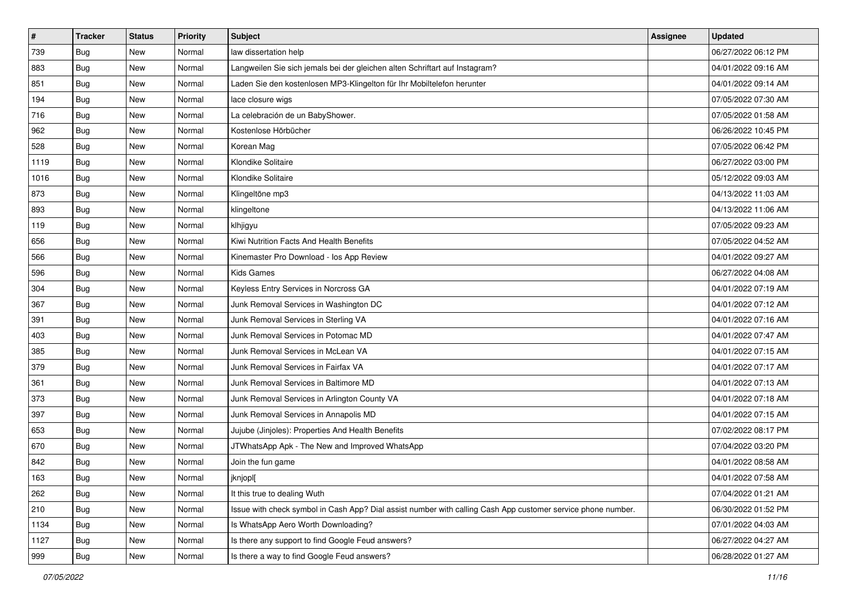| $\vert$ # | <b>Tracker</b> | <b>Status</b> | <b>Priority</b> | <b>Subject</b>                                                                                               | Assignee | <b>Updated</b>      |
|-----------|----------------|---------------|-----------------|--------------------------------------------------------------------------------------------------------------|----------|---------------------|
| 739       | <b>Bug</b>     | New           | Normal          | law dissertation help                                                                                        |          | 06/27/2022 06:12 PM |
| 883       | Bug            | <b>New</b>    | Normal          | Langweilen Sie sich jemals bei der gleichen alten Schriftart auf Instagram?                                  |          | 04/01/2022 09:16 AM |
| 851       | Bug            | New           | Normal          | Laden Sie den kostenlosen MP3-Klingelton für Ihr Mobiltelefon herunter                                       |          | 04/01/2022 09:14 AM |
| 194       | Bug            | <b>New</b>    | Normal          | lace closure wigs                                                                                            |          | 07/05/2022 07:30 AM |
| 716       | Bug            | <b>New</b>    | Normal          | La celebración de un BabyShower.                                                                             |          | 07/05/2022 01:58 AM |
| 962       | <b>Bug</b>     | New           | Normal          | Kostenlose Hörbücher                                                                                         |          | 06/26/2022 10:45 PM |
| 528       | <b>Bug</b>     | New           | Normal          | Korean Mag                                                                                                   |          | 07/05/2022 06:42 PM |
| 1119      | Bug            | <b>New</b>    | Normal          | Klondike Solitaire                                                                                           |          | 06/27/2022 03:00 PM |
| 1016      | Bug            | New           | Normal          | Klondike Solitaire                                                                                           |          | 05/12/2022 09:03 AM |
| 873       | Bug            | New           | Normal          | Klingeltöne mp3                                                                                              |          | 04/13/2022 11:03 AM |
| 893       | <b>Bug</b>     | New           | Normal          | klingeltone                                                                                                  |          | 04/13/2022 11:06 AM |
| 119       | <b>Bug</b>     | New           | Normal          | klhjigyu                                                                                                     |          | 07/05/2022 09:23 AM |
| 656       | Bug            | <b>New</b>    | Normal          | Kiwi Nutrition Facts And Health Benefits                                                                     |          | 07/05/2022 04:52 AM |
| 566       | <b>Bug</b>     | New           | Normal          | Kinemaster Pro Download - los App Review                                                                     |          | 04/01/2022 09:27 AM |
| 596       | <b>Bug</b>     | <b>New</b>    | Normal          | <b>Kids Games</b>                                                                                            |          | 06/27/2022 04:08 AM |
| 304       | Bug            | New           | Normal          | Keyless Entry Services in Norcross GA                                                                        |          | 04/01/2022 07:19 AM |
| 367       | <b>Bug</b>     | <b>New</b>    | Normal          | Junk Removal Services in Washington DC                                                                       |          | 04/01/2022 07:12 AM |
| 391       | Bug            | <b>New</b>    | Normal          | Junk Removal Services in Sterling VA                                                                         |          | 04/01/2022 07:16 AM |
| 403       | <b>Bug</b>     | New           | Normal          | Junk Removal Services in Potomac MD                                                                          |          | 04/01/2022 07:47 AM |
| 385       | Bug            | <b>New</b>    | Normal          | Junk Removal Services in McLean VA                                                                           |          | 04/01/2022 07:15 AM |
| 379       | <b>Bug</b>     | <b>New</b>    | Normal          | Junk Removal Services in Fairfax VA                                                                          |          | 04/01/2022 07:17 AM |
| 361       | Bug            | New           | Normal          | Junk Removal Services in Baltimore MD                                                                        |          | 04/01/2022 07:13 AM |
| 373       | Bug            | <b>New</b>    | Normal          | Junk Removal Services in Arlington County VA                                                                 |          | 04/01/2022 07:18 AM |
| 397       | <b>Bug</b>     | New           | Normal          | Junk Removal Services in Annapolis MD                                                                        |          | 04/01/2022 07:15 AM |
| 653       | <b>Bug</b>     | New           | Normal          | Jujube (Jinjoles): Properties And Health Benefits                                                            |          | 07/02/2022 08:17 PM |
| 670       | Bug            | <b>New</b>    | Normal          | JTWhatsApp Apk - The New and Improved WhatsApp                                                               |          | 07/04/2022 03:20 PM |
| 842       | <b>Bug</b>     | New           | Normal          | Join the fun game                                                                                            |          | 04/01/2022 08:58 AM |
| 163       | <b>Bug</b>     | New           | Normal          | jknjopl[                                                                                                     |          | 04/01/2022 07:58 AM |
| 262       | <b>Bug</b>     | New           | Normal          | It this true to dealing Wuth                                                                                 |          | 07/04/2022 01:21 AM |
| 210       | <b>Bug</b>     | New           | Normal          | Issue with check symbol in Cash App? Dial assist number with calling Cash App customer service phone number. |          | 06/30/2022 01:52 PM |
| 1134      | Bug            | New           | Normal          | Is WhatsApp Aero Worth Downloading?                                                                          |          | 07/01/2022 04:03 AM |
| 1127      | <b>Bug</b>     | New           | Normal          | Is there any support to find Google Feud answers?                                                            |          | 06/27/2022 04:27 AM |
| 999       | <b>Bug</b>     | New           | Normal          | Is there a way to find Google Feud answers?                                                                  |          | 06/28/2022 01:27 AM |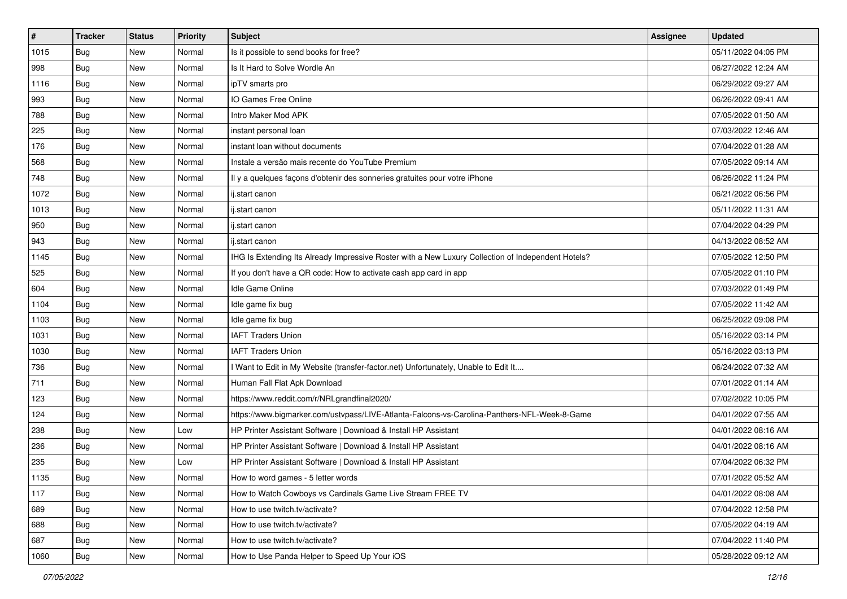| $\vert$ # | <b>Tracker</b> | <b>Status</b> | <b>Priority</b> | <b>Subject</b>                                                                                     | <b>Assignee</b> | <b>Updated</b>      |
|-----------|----------------|---------------|-----------------|----------------------------------------------------------------------------------------------------|-----------------|---------------------|
| 1015      | <b>Bug</b>     | New           | Normal          | Is it possible to send books for free?                                                             |                 | 05/11/2022 04:05 PM |
| 998       | Bug            | New           | Normal          | Is It Hard to Solve Wordle An                                                                      |                 | 06/27/2022 12:24 AM |
| 1116      | Bug            | New           | Normal          | ipTV smarts pro                                                                                    |                 | 06/29/2022 09:27 AM |
| 993       | Bug            | New           | Normal          | IO Games Free Online                                                                               |                 | 06/26/2022 09:41 AM |
| 788       | Bug            | <b>New</b>    | Normal          | Intro Maker Mod APK                                                                                |                 | 07/05/2022 01:50 AM |
| 225       | Bug            | New           | Normal          | instant personal loan                                                                              |                 | 07/03/2022 12:46 AM |
| 176       | Bug            | New           | Normal          | instant loan without documents                                                                     |                 | 07/04/2022 01:28 AM |
| 568       | <b>Bug</b>     | New           | Normal          | Instale a versão mais recente do YouTube Premium                                                   |                 | 07/05/2022 09:14 AM |
| 748       | <b>Bug</b>     | New           | Normal          | Il y a quelques façons d'obtenir des sonneries gratuites pour votre iPhone                         |                 | 06/26/2022 11:24 PM |
| 1072      | Bug            | New           | Normal          | ij.start canon                                                                                     |                 | 06/21/2022 06:56 PM |
| 1013      | Bug            | New           | Normal          | ij.start canon                                                                                     |                 | 05/11/2022 11:31 AM |
| 950       | Bug            | New           | Normal          | ij.start canon                                                                                     |                 | 07/04/2022 04:29 PM |
| 943       | Bug            | <b>New</b>    | Normal          | ij.start canon                                                                                     |                 | 04/13/2022 08:52 AM |
| 1145      | <b>Bug</b>     | New           | Normal          | IHG Is Extending Its Already Impressive Roster with a New Luxury Collection of Independent Hotels? |                 | 07/05/2022 12:50 PM |
| 525       | Bug            | New           | Normal          | If you don't have a QR code: How to activate cash app card in app                                  |                 | 07/05/2022 01:10 PM |
| 604       | Bug            | New           | Normal          | Idle Game Online                                                                                   |                 | 07/03/2022 01:49 PM |
| 1104      | <b>Bug</b>     | New           | Normal          | Idle game fix bug                                                                                  |                 | 07/05/2022 11:42 AM |
| 1103      | Bug            | <b>New</b>    | Normal          | Idle game fix bug                                                                                  |                 | 06/25/2022 09:08 PM |
| 1031      | Bug            | New           | Normal          | <b>IAFT Traders Union</b>                                                                          |                 | 05/16/2022 03:14 PM |
| 1030      | Bug            | New           | Normal          | <b>IAFT Traders Union</b>                                                                          |                 | 05/16/2022 03:13 PM |
| 736       | <b>Bug</b>     | New           | Normal          | I Want to Edit in My Website (transfer-factor.net) Unfortunately, Unable to Edit It                |                 | 06/24/2022 07:32 AM |
| 711       | <b>Bug</b>     | New           | Normal          | Human Fall Flat Apk Download                                                                       |                 | 07/01/2022 01:14 AM |
| 123       | Bug            | New           | Normal          | https://www.reddit.com/r/NRLgrandfinal2020/                                                        |                 | 07/02/2022 10:05 PM |
| 124       | <b>Bug</b>     | New           | Normal          | https://www.bigmarker.com/ustvpass/LIVE-Atlanta-Falcons-vs-Carolina-Panthers-NFL-Week-8-Game       |                 | 04/01/2022 07:55 AM |
| 238       | Bug            | New           | Low             | HP Printer Assistant Software   Download & Install HP Assistant                                    |                 | 04/01/2022 08:16 AM |
| 236       | Bug            | New           | Normal          | HP Printer Assistant Software   Download & Install HP Assistant                                    |                 | 04/01/2022 08:16 AM |
| 235       | <b>Bug</b>     | New           | Low             | HP Printer Assistant Software   Download & Install HP Assistant                                    |                 | 07/04/2022 06:32 PM |
| 1135      | Bug            | New           | Normal          | How to word games - 5 letter words                                                                 |                 | 07/01/2022 05:52 AM |
| 117       | Bug            | New           | Normal          | How to Watch Cowboys vs Cardinals Game Live Stream FREE TV                                         |                 | 04/01/2022 08:08 AM |
| 689       | Bug            | New           | Normal          | How to use twitch.tv/activate?                                                                     |                 | 07/04/2022 12:58 PM |
| 688       | <b>Bug</b>     | New           | Normal          | How to use twitch.tv/activate?                                                                     |                 | 07/05/2022 04:19 AM |
| 687       | <b>Bug</b>     | New           | Normal          | How to use twitch.tv/activate?                                                                     |                 | 07/04/2022 11:40 PM |
| 1060      | <b>Bug</b>     | New           | Normal          | How to Use Panda Helper to Speed Up Your iOS                                                       |                 | 05/28/2022 09:12 AM |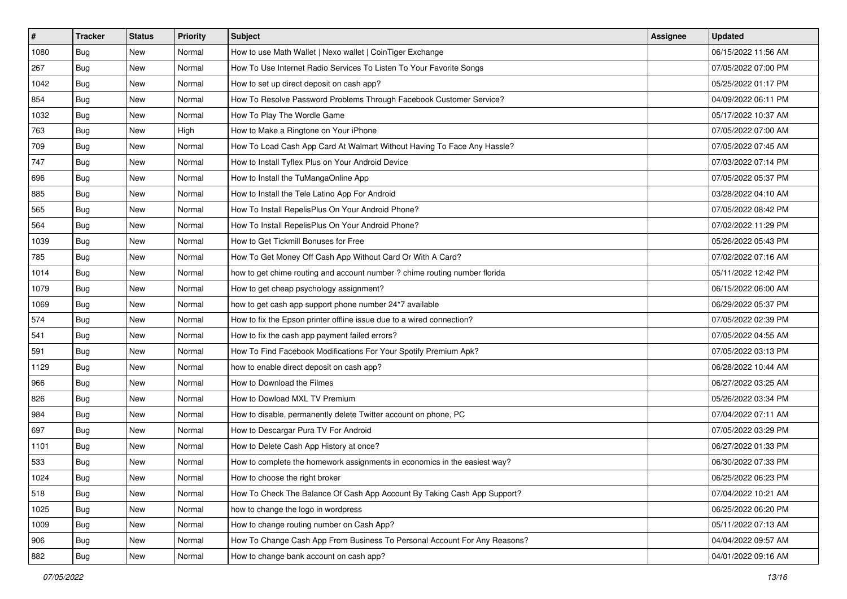| $\vert$ # | <b>Tracker</b> | <b>Status</b> | <b>Priority</b> | <b>Subject</b>                                                             | <b>Assignee</b> | <b>Updated</b>      |
|-----------|----------------|---------------|-----------------|----------------------------------------------------------------------------|-----------------|---------------------|
| 1080      | <b>Bug</b>     | New           | Normal          | How to use Math Wallet   Nexo wallet   CoinTiger Exchange                  |                 | 06/15/2022 11:56 AM |
| 267       | <b>Bug</b>     | New           | Normal          | How To Use Internet Radio Services To Listen To Your Favorite Songs        |                 | 07/05/2022 07:00 PM |
| 1042      | Bug            | New           | Normal          | How to set up direct deposit on cash app?                                  |                 | 05/25/2022 01:17 PM |
| 854       | <b>Bug</b>     | New           | Normal          | How To Resolve Password Problems Through Facebook Customer Service?        |                 | 04/09/2022 06:11 PM |
| 1032      | Bug            | New           | Normal          | How To Play The Wordle Game                                                |                 | 05/17/2022 10:37 AM |
| 763       | <b>Bug</b>     | New           | High            | How to Make a Ringtone on Your iPhone                                      |                 | 07/05/2022 07:00 AM |
| 709       | Bug            | New           | Normal          | How To Load Cash App Card At Walmart Without Having To Face Any Hassle?    |                 | 07/05/2022 07:45 AM |
| 747       | <b>Bug</b>     | New           | Normal          | How to Install Tyflex Plus on Your Android Device                          |                 | 07/03/2022 07:14 PM |
| 696       | <b>Bug</b>     | New           | Normal          | How to Install the TuMangaOnline App                                       |                 | 07/05/2022 05:37 PM |
| 885       | Bug            | New           | Normal          | How to Install the Tele Latino App For Android                             |                 | 03/28/2022 04:10 AM |
| 565       | <b>Bug</b>     | New           | Normal          | How To Install RepelisPlus On Your Android Phone?                          |                 | 07/05/2022 08:42 PM |
| 564       | Bug            | New           | Normal          | How To Install RepelisPlus On Your Android Phone?                          |                 | 07/02/2022 11:29 PM |
| 1039      | Bug            | New           | Normal          | How to Get Tickmill Bonuses for Free                                       |                 | 05/26/2022 05:43 PM |
| 785       | <b>Bug</b>     | New           | Normal          | How To Get Money Off Cash App Without Card Or With A Card?                 |                 | 07/02/2022 07:16 AM |
| 1014      | <b>Bug</b>     | New           | Normal          | how to get chime routing and account number ? chime routing number florida |                 | 05/11/2022 12:42 PM |
| 1079      | Bug            | New           | Normal          | How to get cheap psychology assignment?                                    |                 | 06/15/2022 06:00 AM |
| 1069      | <b>Bug</b>     | New           | Normal          | how to get cash app support phone number 24*7 available                    |                 | 06/29/2022 05:37 PM |
| 574       | Bug            | New           | Normal          | How to fix the Epson printer offline issue due to a wired connection?      |                 | 07/05/2022 02:39 PM |
| 541       | <b>Bug</b>     | New           | Normal          | How to fix the cash app payment failed errors?                             |                 | 07/05/2022 04:55 AM |
| 591       | <b>Bug</b>     | New           | Normal          | How To Find Facebook Modifications For Your Spotify Premium Apk?           |                 | 07/05/2022 03:13 PM |
| 1129      | <b>Bug</b>     | New           | Normal          | how to enable direct deposit on cash app?                                  |                 | 06/28/2022 10:44 AM |
| 966       | <b>Bug</b>     | New           | Normal          | How to Download the Filmes                                                 |                 | 06/27/2022 03:25 AM |
| 826       | Bug            | New           | Normal          | How to Dowload MXL TV Premium                                              |                 | 05/26/2022 03:34 PM |
| 984       | <b>Bug</b>     | New           | Normal          | How to disable, permanently delete Twitter account on phone, PC            |                 | 07/04/2022 07:11 AM |
| 697       | Bug            | New           | Normal          | How to Descargar Pura TV For Android                                       |                 | 07/05/2022 03:29 PM |
| 1101      | Bug            | New           | Normal          | How to Delete Cash App History at once?                                    |                 | 06/27/2022 01:33 PM |
| 533       | <b>Bug</b>     | New           | Normal          | How to complete the homework assignments in economics in the easiest way?  |                 | 06/30/2022 07:33 PM |
| 1024      | <b>Bug</b>     | New           | Normal          | How to choose the right broker                                             |                 | 06/25/2022 06:23 PM |
| 518       | <b>Bug</b>     | New           | Normal          | How To Check The Balance Of Cash App Account By Taking Cash App Support?   |                 | 07/04/2022 10:21 AM |
| 1025      | Bug            | New           | Normal          | how to change the logo in wordpress                                        |                 | 06/25/2022 06:20 PM |
| 1009      | Bug            | New           | Normal          | How to change routing number on Cash App?                                  |                 | 05/11/2022 07:13 AM |
| 906       | <b>Bug</b>     | New           | Normal          | How To Change Cash App From Business To Personal Account For Any Reasons?  |                 | 04/04/2022 09:57 AM |
| 882       | Bug            | New           | Normal          | How to change bank account on cash app?                                    |                 | 04/01/2022 09:16 AM |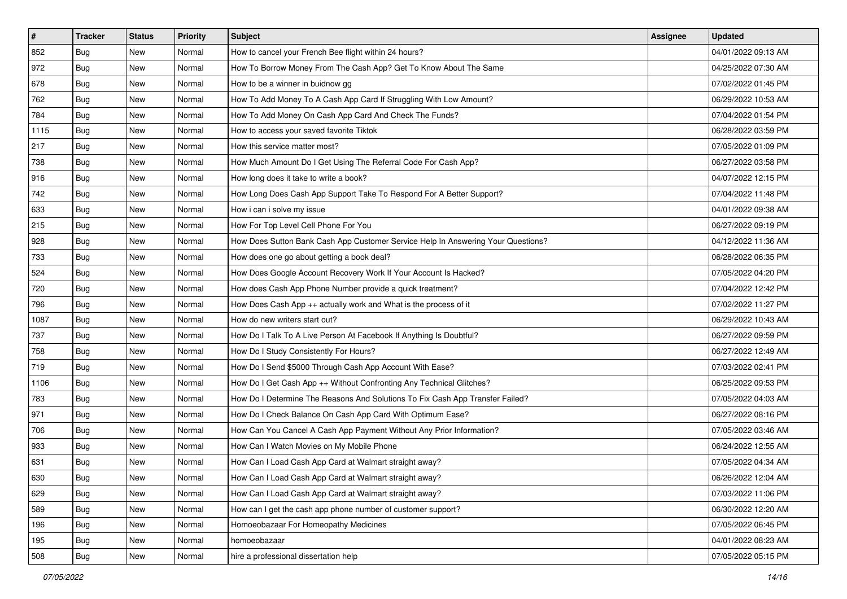| $\vert$ # | <b>Tracker</b> | <b>Status</b> | <b>Priority</b> | <b>Subject</b>                                                                   | <b>Assignee</b> | <b>Updated</b>      |
|-----------|----------------|---------------|-----------------|----------------------------------------------------------------------------------|-----------------|---------------------|
| 852       | <b>Bug</b>     | New           | Normal          | How to cancel your French Bee flight within 24 hours?                            |                 | 04/01/2022 09:13 AM |
| 972       | Bug            | New           | Normal          | How To Borrow Money From The Cash App? Get To Know About The Same                |                 | 04/25/2022 07:30 AM |
| 678       | Bug            | New           | Normal          | How to be a winner in buidnow gg                                                 |                 | 07/02/2022 01:45 PM |
| 762       | <b>Bug</b>     | <b>New</b>    | Normal          | How To Add Money To A Cash App Card If Struggling With Low Amount?               |                 | 06/29/2022 10:53 AM |
| 784       | <b>Bug</b>     | <b>New</b>    | Normal          | How To Add Money On Cash App Card And Check The Funds?                           |                 | 07/04/2022 01:54 PM |
| 1115      | Bug            | New           | Normal          | How to access your saved favorite Tiktok                                         |                 | 06/28/2022 03:59 PM |
| 217       | Bug            | New           | Normal          | How this service matter most?                                                    |                 | 07/05/2022 01:09 PM |
| 738       | <b>Bug</b>     | New           | Normal          | How Much Amount Do I Get Using The Referral Code For Cash App?                   |                 | 06/27/2022 03:58 PM |
| 916       | <b>Bug</b>     | <b>New</b>    | Normal          | How long does it take to write a book?                                           |                 | 04/07/2022 12:15 PM |
| 742       | Bug            | New           | Normal          | How Long Does Cash App Support Take To Respond For A Better Support?             |                 | 07/04/2022 11:48 PM |
| 633       | Bug            | New           | Normal          | How i can i solve my issue                                                       |                 | 04/01/2022 09:38 AM |
| 215       | Bug            | New           | Normal          | How For Top Level Cell Phone For You                                             |                 | 06/27/2022 09:19 PM |
| 928       | Bug            | <b>New</b>    | Normal          | How Does Sutton Bank Cash App Customer Service Help In Answering Your Questions? |                 | 04/12/2022 11:36 AM |
| 733       | <b>Bug</b>     | New           | Normal          | How does one go about getting a book deal?                                       |                 | 06/28/2022 06:35 PM |
| 524       | <b>Bug</b>     | New           | Normal          | How Does Google Account Recovery Work If Your Account Is Hacked?                 |                 | 07/05/2022 04:20 PM |
| 720       | Bug            | New           | Normal          | How does Cash App Phone Number provide a quick treatment?                        |                 | 07/04/2022 12:42 PM |
| 796       | <b>Bug</b>     | New           | Normal          | How Does Cash App ++ actually work and What is the process of it                 |                 | 07/02/2022 11:27 PM |
| 1087      | <b>Bug</b>     | <b>New</b>    | Normal          | How do new writers start out?                                                    |                 | 06/29/2022 10:43 AM |
| 737       | <b>Bug</b>     | New           | Normal          | How Do I Talk To A Live Person At Facebook If Anything Is Doubtful?              |                 | 06/27/2022 09:59 PM |
| 758       | <b>Bug</b>     | New           | Normal          | How Do I Study Consistently For Hours?                                           |                 | 06/27/2022 12:49 AM |
| 719       | Bug            | New           | Normal          | How Do I Send \$5000 Through Cash App Account With Ease?                         |                 | 07/03/2022 02:41 PM |
| 1106      | <b>Bug</b>     | <b>New</b>    | Normal          | How Do I Get Cash App ++ Without Confronting Any Technical Glitches?             |                 | 06/25/2022 09:53 PM |
| 783       | Bug            | <b>New</b>    | Normal          | How Do I Determine The Reasons And Solutions To Fix Cash App Transfer Failed?    |                 | 07/05/2022 04:03 AM |
| 971       | Bug            | New           | Normal          | How Do I Check Balance On Cash App Card With Optimum Ease?                       |                 | 06/27/2022 08:16 PM |
| 706       | Bug            | <b>New</b>    | Normal          | How Can You Cancel A Cash App Payment Without Any Prior Information?             |                 | 07/05/2022 03:46 AM |
| 933       | <b>Bug</b>     | New           | Normal          | How Can I Watch Movies on My Mobile Phone                                        |                 | 06/24/2022 12:55 AM |
| 631       | <b>Bug</b>     | New           | Normal          | How Can I Load Cash App Card at Walmart straight away?                           |                 | 07/05/2022 04:34 AM |
| 630       | i Bug          | New           | Normal          | How Can I Load Cash App Card at Walmart straight away?                           |                 | 06/26/2022 12:04 AM |
| 629       | <b>Bug</b>     | New           | Normal          | How Can I Load Cash App Card at Walmart straight away?                           |                 | 07/03/2022 11:06 PM |
| 589       | Bug            | New           | Normal          | How can I get the cash app phone number of customer support?                     |                 | 06/30/2022 12:20 AM |
| 196       | Bug            | New           | Normal          | Homoeobazaar For Homeopathy Medicines                                            |                 | 07/05/2022 06:45 PM |
| 195       | <b>Bug</b>     | New           | Normal          | homoeobazaar                                                                     |                 | 04/01/2022 08:23 AM |
| 508       | Bug            | New           | Normal          | hire a professional dissertation help                                            |                 | 07/05/2022 05:15 PM |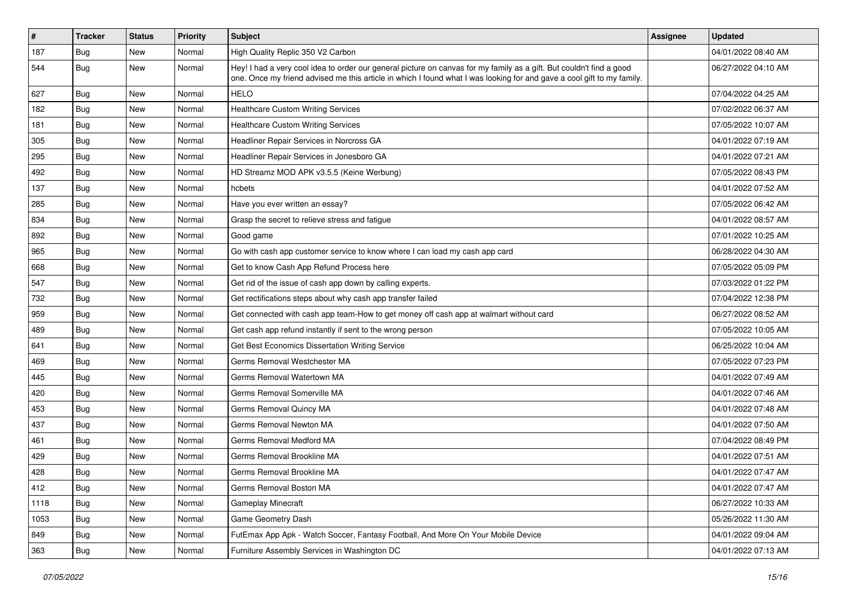| #    | <b>Tracker</b> | <b>Status</b> | <b>Priority</b> | <b>Subject</b>                                                                                                                                                                                                                                 | <b>Assignee</b> | <b>Updated</b>      |
|------|----------------|---------------|-----------------|------------------------------------------------------------------------------------------------------------------------------------------------------------------------------------------------------------------------------------------------|-----------------|---------------------|
| 187  | <b>Bug</b>     | New           | Normal          | High Quality Replic 350 V2 Carbon                                                                                                                                                                                                              |                 | 04/01/2022 08:40 AM |
| 544  | Bug            | New           | Normal          | Hey! I had a very cool idea to order our general picture on canvas for my family as a gift. But couldn't find a good<br>one. Once my friend advised me this article in which I found what I was looking for and gave a cool gift to my family. |                 | 06/27/2022 04:10 AM |
| 627  | Bug            | <b>New</b>    | Normal          | <b>HELO</b>                                                                                                                                                                                                                                    |                 | 07/04/2022 04:25 AM |
| 182  | Bug            | New           | Normal          | <b>Healthcare Custom Writing Services</b>                                                                                                                                                                                                      |                 | 07/02/2022 06:37 AM |
| 181  | Bug            | New           | Normal          | <b>Healthcare Custom Writing Services</b>                                                                                                                                                                                                      |                 | 07/05/2022 10:07 AM |
| 305  | Bug            | New           | Normal          | Headliner Repair Services in Norcross GA                                                                                                                                                                                                       |                 | 04/01/2022 07:19 AM |
| 295  | Bug            | New           | Normal          | Headliner Repair Services in Jonesboro GA                                                                                                                                                                                                      |                 | 04/01/2022 07:21 AM |
| 492  | <b>Bug</b>     | New           | Normal          | HD Streamz MOD APK v3.5.5 (Keine Werbung)                                                                                                                                                                                                      |                 | 07/05/2022 08:43 PM |
| 137  | Bug            | New           | Normal          | hcbets                                                                                                                                                                                                                                         |                 | 04/01/2022 07:52 AM |
| 285  | Bug            | New           | Normal          | Have you ever written an essay?                                                                                                                                                                                                                |                 | 07/05/2022 06:42 AM |
| 834  | Bug            | New           | Normal          | Grasp the secret to relieve stress and fatigue                                                                                                                                                                                                 |                 | 04/01/2022 08:57 AM |
| 892  | Bug            | <b>New</b>    | Normal          | Good game                                                                                                                                                                                                                                      |                 | 07/01/2022 10:25 AM |
| 965  | <b>Bug</b>     | New           | Normal          | Go with cash app customer service to know where I can load my cash app card                                                                                                                                                                    |                 | 06/28/2022 04:30 AM |
| 668  | Bug            | New           | Normal          | Get to know Cash App Refund Process here                                                                                                                                                                                                       |                 | 07/05/2022 05:09 PM |
| 547  | Bug            | New           | Normal          | Get rid of the issue of cash app down by calling experts.                                                                                                                                                                                      |                 | 07/03/2022 01:22 PM |
| 732  | Bug            | New           | Normal          | Get rectifications steps about why cash app transfer failed                                                                                                                                                                                    |                 | 07/04/2022 12:38 PM |
| 959  | Bug            | <b>New</b>    | Normal          | Get connected with cash app team-How to get money off cash app at walmart without card                                                                                                                                                         |                 | 06/27/2022 08:52 AM |
| 489  | <b>Bug</b>     | New           | Normal          | Get cash app refund instantly if sent to the wrong person                                                                                                                                                                                      |                 | 07/05/2022 10:05 AM |
| 641  | Bug            | New           | Normal          | Get Best Economics Dissertation Writing Service                                                                                                                                                                                                |                 | 06/25/2022 10:04 AM |
| 469  | Bug            | <b>New</b>    | Normal          | Germs Removal Westchester MA                                                                                                                                                                                                                   |                 | 07/05/2022 07:23 PM |
| 445  | Bug            | New           | Normal          | Germs Removal Watertown MA                                                                                                                                                                                                                     |                 | 04/01/2022 07:49 AM |
| 420  | Bug            | New           | Normal          | Germs Removal Somerville MA                                                                                                                                                                                                                    |                 | 04/01/2022 07:46 AM |
| 453  | Bug            | New           | Normal          | Germs Removal Quincy MA                                                                                                                                                                                                                        |                 | 04/01/2022 07:48 AM |
| 437  | <b>Bug</b>     | New           | Normal          | Germs Removal Newton MA                                                                                                                                                                                                                        |                 | 04/01/2022 07:50 AM |
| 461  | Bug            | New           | Normal          | Germs Removal Medford MA                                                                                                                                                                                                                       |                 | 07/04/2022 08:49 PM |
| 429  | <b>Bug</b>     | New           | Normal          | Germs Removal Brookline MA                                                                                                                                                                                                                     |                 | 04/01/2022 07:51 AM |
| 428  | <b>Bug</b>     | <b>New</b>    | Normal          | Germs Removal Brookline MA                                                                                                                                                                                                                     |                 | 04/01/2022 07:47 AM |
| 412  | Bug            | <b>New</b>    | Normal          | Germs Removal Boston MA                                                                                                                                                                                                                        |                 | 04/01/2022 07:47 AM |
| 1118 | Bug            | New           | Normal          | Gameplay Minecraft                                                                                                                                                                                                                             |                 | 06/27/2022 10:33 AM |
| 1053 | <b>Bug</b>     | <b>New</b>    | Normal          | Game Geometry Dash                                                                                                                                                                                                                             |                 | 05/26/2022 11:30 AM |
| 849  | Bug            | New           | Normal          | FutEmax App Apk - Watch Soccer, Fantasy Football, And More On Your Mobile Device                                                                                                                                                               |                 | 04/01/2022 09:04 AM |
| 363  | <b>Bug</b>     | New           | Normal          | Furniture Assembly Services in Washington DC                                                                                                                                                                                                   |                 | 04/01/2022 07:13 AM |